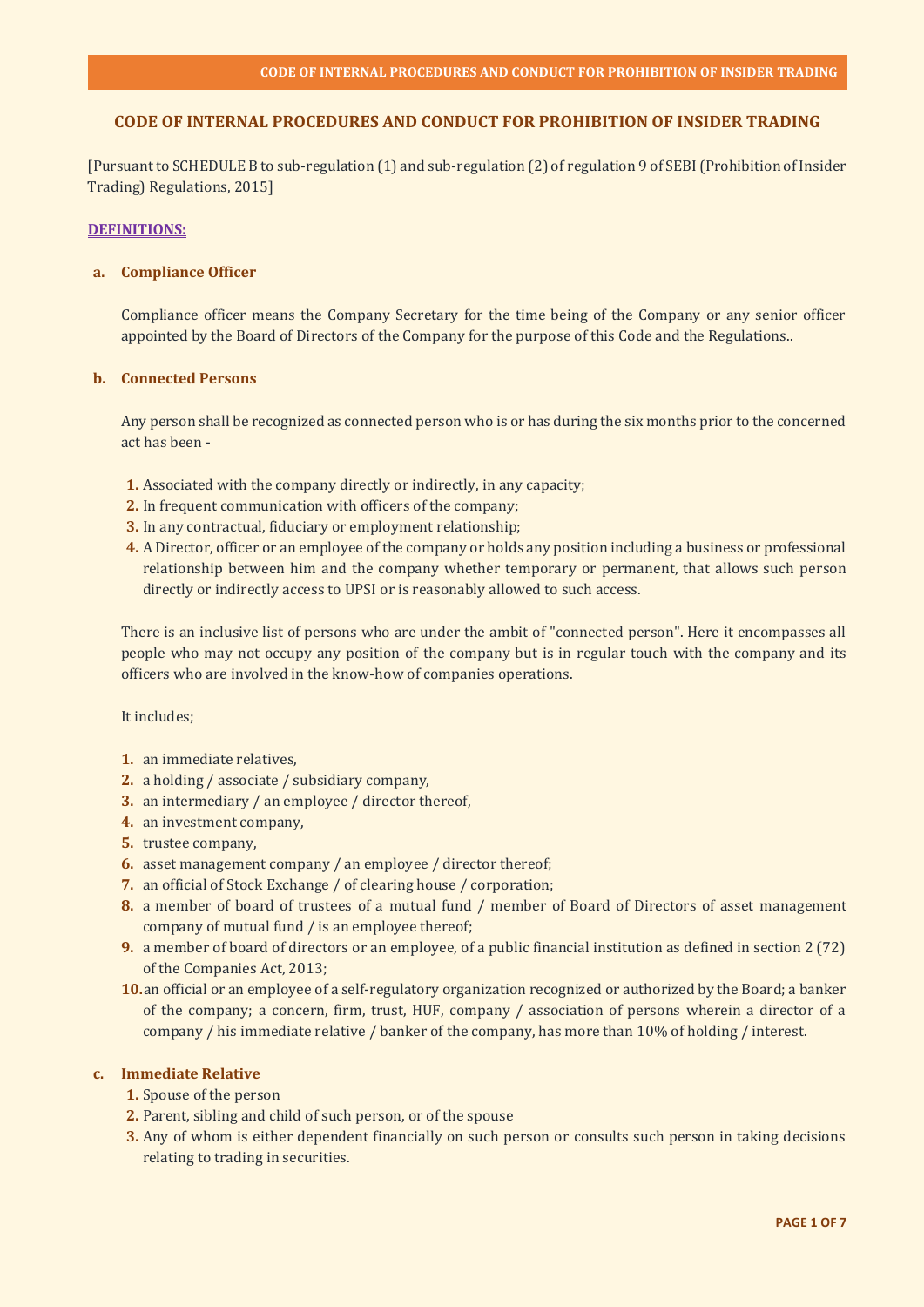# **CODE OF INTERNAL PROCEDURES AND CONDUCT FOR PROHIBITION OF INSIDER TRADING**

[Pursuant to SCHEDULE B to sub-regulation (1) and sub-regulation (2) of regulation 9 of SEBI (Prohibition of Insider Trading) Regulations, 2015]

### **DEFINITIONS:**

### **a. Compliance Officer**

Compliance officer means the Company Secretary for the time being of the Company or any senior officer appointed by the Board of Directors of the Company for the purpose of this Code and the Regulations..

### **b. Connected Persons**

Any person shall be recognized as connected person who is or has during the six months prior to the concerned act has been -

- **1.** Associated with the company directly or indirectly, in any capacity;
- **2.** In frequent communication with officers of the company;
- **3.** In any contractual, fiduciary or employment relationship;
- **4.** A Director, officer or an employee of the company or holds any position including a business or professional relationship between him and the company whether temporary or permanent, that allows such person directly or indirectly access to UPSI or is reasonably allowed to such access.

There is an inclusive list of persons who are under the ambit of "connected person". Here it encompasses all people who may not occupy any position of the company but is in regular touch with the company and its officers who are involved in the know-how of companies operations.

## It includes;

- **1.** an immediate relatives,
- **2.** a holding / associate / subsidiary company,
- **3.** an intermediary / an employee / director thereof,
- **4.** an investment company,
- **5.** trustee company,
- **6.** asset management company / an employee / director thereof;
- **7.** an official of Stock Exchange / of clearing house / corporation;
- **8.** a member of board of trustees of a mutual fund / member of Board of Directors of asset management company of mutual fund / is an employee thereof;
- **9.** a member of board of directors or an employee, of a public financial institution as defined in section 2 (72) of the Companies Act, 2013;
- **10.**an official or an employee of a self-regulatory organization recognized or authorized by the Board; a banker of the company; a concern, firm, trust, HUF, company / association of persons wherein a director of a company / his immediate relative / banker of the company, has more than 10% of holding / interest.

#### **c. Immediate Relative**

- **1.** Spouse of the person
- **2.** Parent, sibling and child of such person, or of the spouse
- **3.** Any of whom is either dependent financially on such person or consults such person in taking decisions relating to trading in securities.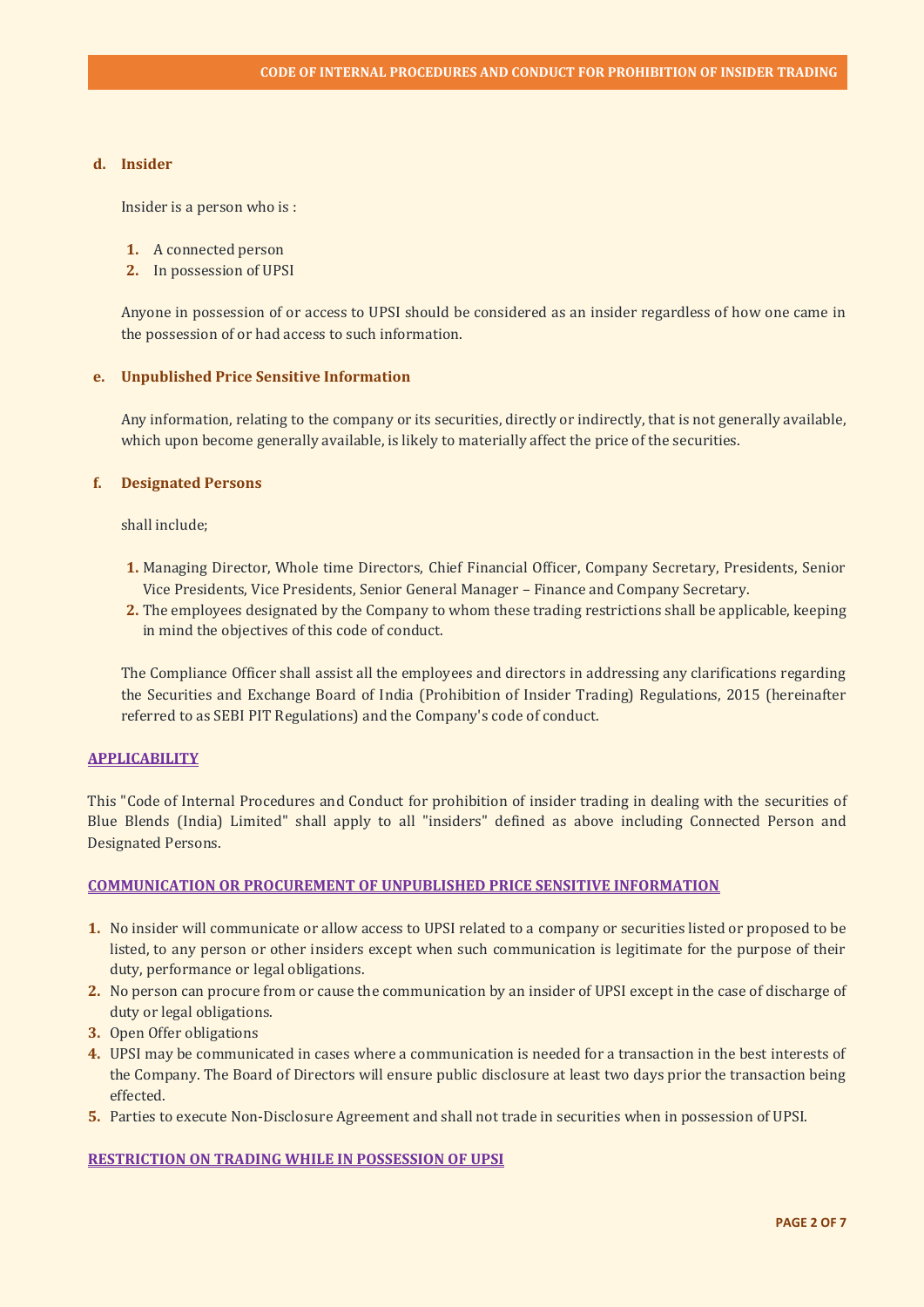# **d. Insider**

Insider is a person who is :

- **1.** A connected person
- **2.** In possession of UPSI

Anyone in possession of or access to UPSI should be considered as an insider regardless of how one came in the possession of or had access to such information.

### **e. Unpublished Price Sensitive Information**

Any information, relating to the company or its securities, directly or indirectly, that is not generally available, which upon become generally available, is likely to materially affect the price of the securities.

### **f. Designated Persons**

shall include;

- **1.** Managing Director, Whole time Directors, Chief Financial Officer, Company Secretary, Presidents, Senior Vice Presidents, Vice Presidents, Senior General Manager – Finance and Company Secretary.
- **2.** The employees designated by the Company to whom these trading restrictions shall be applicable, keeping in mind the objectives of this code of conduct.

The Compliance Officer shall assist all the employees and directors in addressing any clarifications regarding the Securities and Exchange Board of India (Prohibition of Insider Trading) Regulations, 2015 (hereinafter referred to as SEBI PIT Regulations) and the Company's code of conduct.

# **APPLICABILITY**

This "Code of Internal Procedures and Conduct for prohibition of insider trading in dealing with the securities of Blue Blends (India) Limited" shall apply to all "insiders" defined as above including Connected Person and Designated Persons.

#### **COMMUNICATION OR PROCUREMENT OF UNPUBLISHED PRICE SENSITIVE INFORMATION**

- **1.** No insider will communicate or allow access to UPSI related to a company or securities listed or proposed to be listed, to any person or other insiders except when such communication is legitimate for the purpose of their duty, performance or legal obligations.
- **2.** No person can procure from or cause the communication by an insider of UPSI except in the case of discharge of duty or legal obligations.
- **3.** Open Offer obligations
- **4.** UPSI may be communicated in cases where a communication is needed for a transaction in the best interests of the Company. The Board of Directors will ensure public disclosure at least two days prior the transaction being effected.
- **5.** Parties to execute Non-Disclosure Agreement and shall not trade in securities when in possession of UPSI.

#### **RESTRICTION ON TRADING WHILE IN POSSESSION OF UPSI**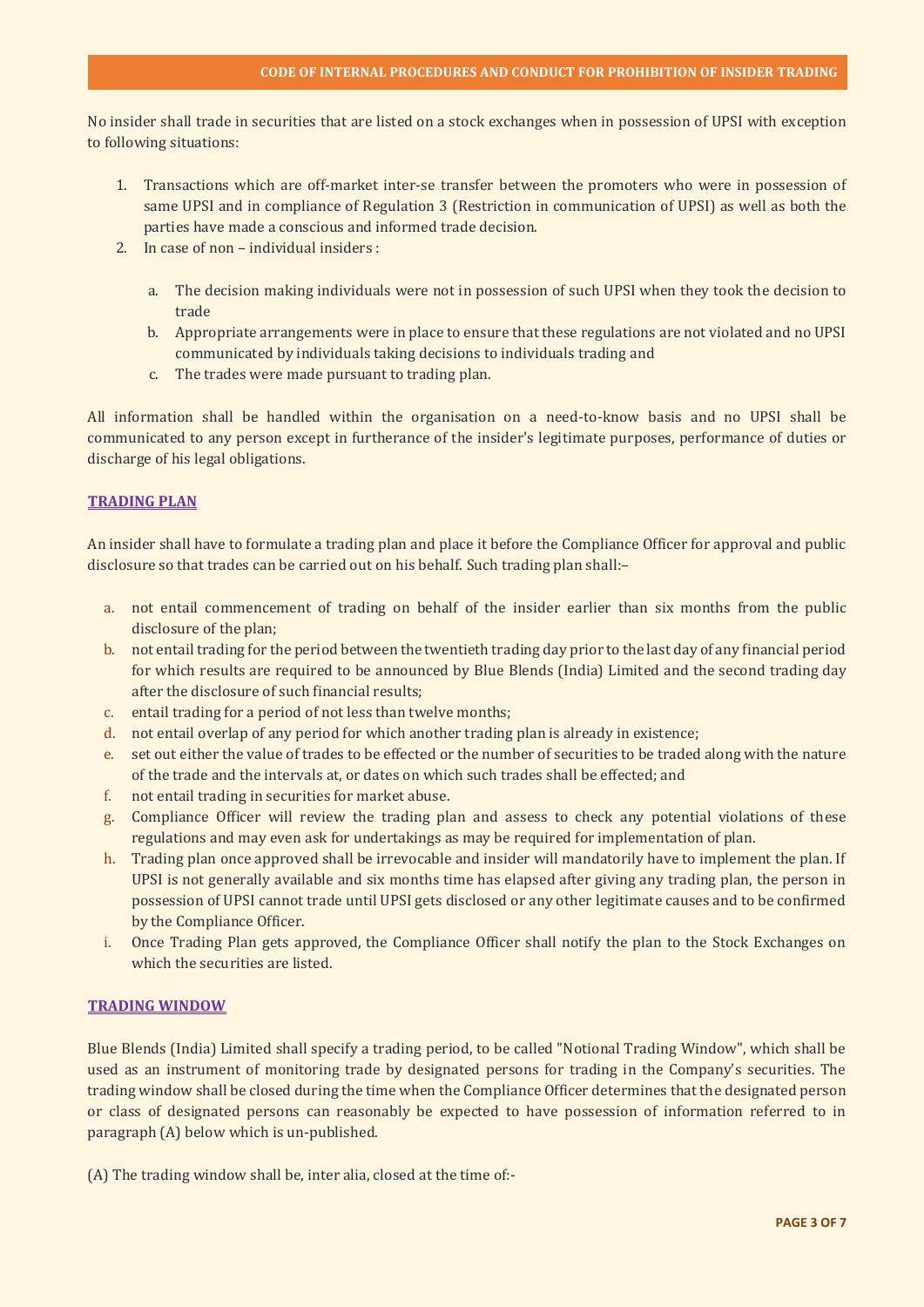No insider shall trade in securities that are listed on a stock exchanges when in possession of UPSI with exception to following situations:

- 1. Transactions which are off-market inter-se transfer between the promoters who were in possession of same UPSI and in compliance of Regulation 3 (Restriction in communication of UPSI) as well as both the parties have made a conscious and informed trade decision.
- 2. In case of non individual insiders :
	- a. The decision making individuals were not in possession of such UPSI when they took the decision to trade
	- b. Appropriate arrangements were in place to ensure that these regulations are not violated and no UPSI communicated by individuals taking decisions to individuals trading and
	- c. The trades were made pursuant to trading plan.

All information shall be handled within the organisation on a need-to-know basis and no UPSI shall be communicated to any person except in furtherance of the insider's legitimate purposes, performance of duties or discharge of his legal obligations.

# **TRADING PLAN**

An insider shall have to formulate a trading plan and place it before the Compliance Officer for approval and public disclosure so that trades can be carried out on his behalf. Such trading plan shall:–

- a. not entail commencement of trading on behalf of the insider earlier than six months from the public disclosure of the plan;
- b. not entail trading for the period between the twentieth trading day prior to the last day of any financial period for which results are required to be announced by Blue Blends (India) Limited and the second trading day after the disclosure of such financial results;
- c. entail trading for a period of not less than twelve months;
- d. not entail overlap of any period for which another trading plan is already in existence;
- e. set out either the value of trades to be effected or the number of securities to be traded along with the nature of the trade and the intervals at, or dates on which such trades shall be effected; and
- f. not entail trading in securities for market abuse.
- g. Compliance Officer will review the trading plan and assess to check any potential violations of these regulations and may even ask for undertakings as may be required for implementation of plan.
- h. Trading plan once approved shall be irrevocable and insider will mandatorily have to implement the plan. If UPSI is not generally available and six months time has elapsed after giving any trading plan, the person in possession of UPSI cannot trade until UPSI gets disclosed or any other legitimate causes and to be confirmed by the Compliance Officer.
- i. Once Trading Plan gets approved, the Compliance Officer shall notify the plan to the Stock Exchanges on which the securities are listed.

# **TRADING WINDOW**

Blue Blends (India) Limited shall specify a trading period, to be called "Notional Trading Window", which shall be used as an instrument of monitoring trade by designated persons for trading in the Company's securities. The trading window shall be closed during the time when the Compliance Officer determines that the designated person or class of designated persons can reasonably be expected to have possession of information referred to in paragraph (A) below which is un-published.

(A) The trading window shall be, inter alia, closed at the time of:-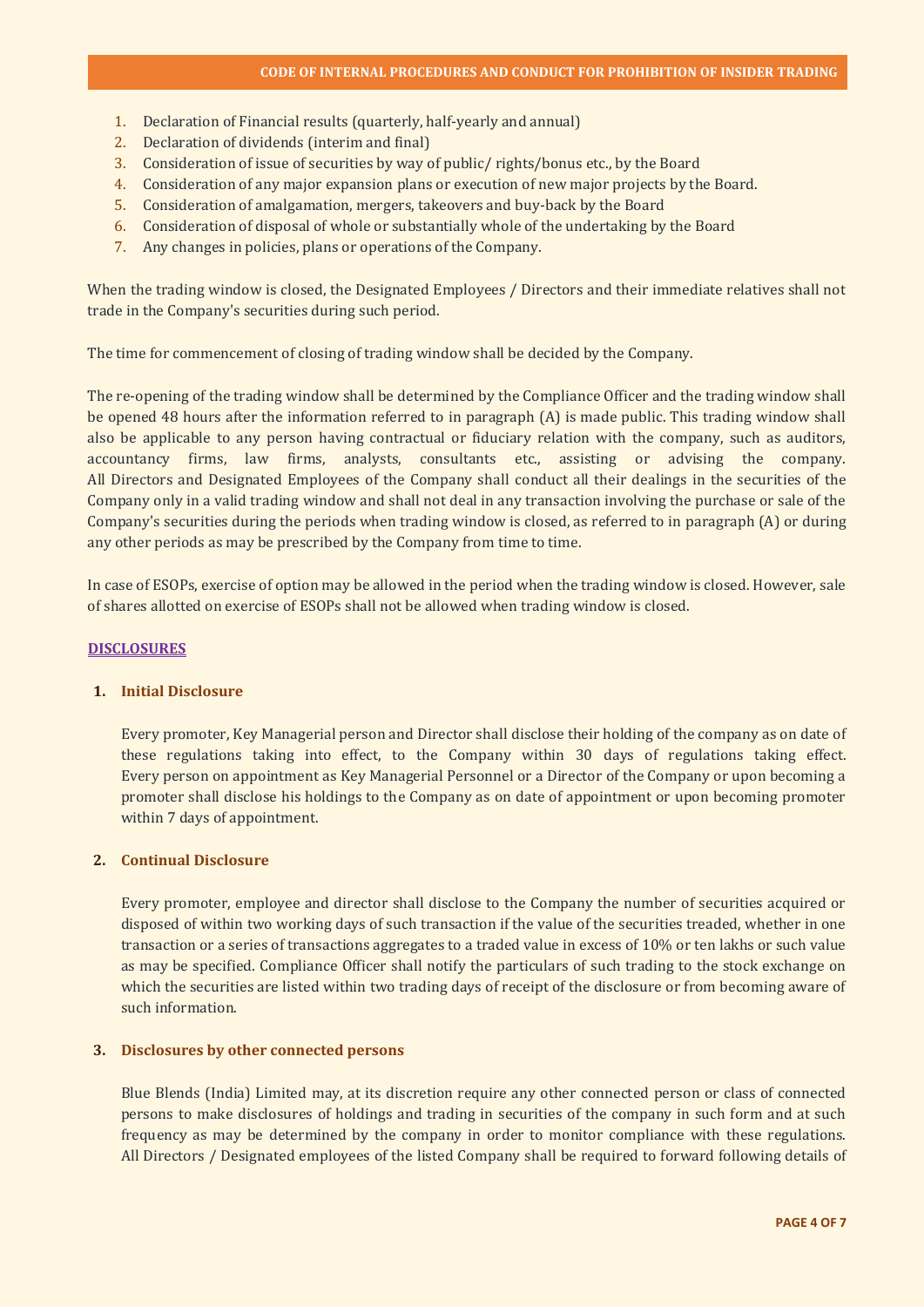- 1. Declaration of Financial results (quarterly, half-yearly and annual)
- 2. Declaration of dividends (interim and final)
- 3. Consideration of issue of securities by way of public/ rights/bonus etc., by the Board
- 4. Consideration of any major expansion plans or execution of new major projects by the Board.
- 5. Consideration of amalgamation, mergers, takeovers and buy-back by the Board
- 6. Consideration of disposal of whole or substantially whole of the undertaking by the Board
- 7. Any changes in policies, plans or operations of the Company.

When the trading window is closed, the Designated Employees / Directors and their immediate relatives shall not trade in the Company's securities during such period.

The time for commencement of closing of trading window shall be decided by the Company.

The re-opening of the trading window shall be determined by the Compliance Officer and the trading window shall be opened 48 hours after the information referred to in paragraph (A) is made public. This trading window shall also be applicable to any person having contractual or fiduciary relation with the company, such as auditors, accountancy firms, law firms, analysts, consultants etc., assisting or advising the company. All Directors and Designated Employees of the Company shall conduct all their dealings in the securities of the Company only in a valid trading window and shall not deal in any transaction involving the purchase or sale of the Company's securities during the periods when trading window is closed, as referred to in paragraph (A) or during any other periods as may be prescribed by the Company from time to time.

In case of ESOPs, exercise of option may be allowed in the period when the trading window is closed. However, sale of shares allotted on exercise of ESOPs shall not be allowed when trading window is closed.

#### **DISCLOSURES**

## **1. Initial Disclosure**

Every promoter, Key Managerial person and Director shall disclose their holding of the company as on date of these regulations taking into effect, to the Company within 30 days of regulations taking effect. Every person on appointment as Key Managerial Personnel or a Director of the Company or upon becoming a promoter shall disclose his holdings to the Company as on date of appointment or upon becoming promoter within 7 days of appointment.

# **2. Continual Disclosure**

Every promoter, employee and director shall disclose to the Company the number of securities acquired or disposed of within two working days of such transaction if the value of the securities treaded, whether in one transaction or a series of transactions aggregates to a traded value in excess of 10% or ten lakhs or such value as may be specified. Compliance Officer shall notify the particulars of such trading to the stock exchange on which the securities are listed within two trading days of receipt of the disclosure or from becoming aware of such information.

# **3. Disclosures by other connected persons**

Blue Blends (India) Limited may, at its discretion require any other connected person or class of connected persons to make disclosures of holdings and trading in securities of the company in such form and at such frequency as may be determined by the company in order to monitor compliance with these regulations. All Directors / Designated employees of the listed Company shall be required to forward following details of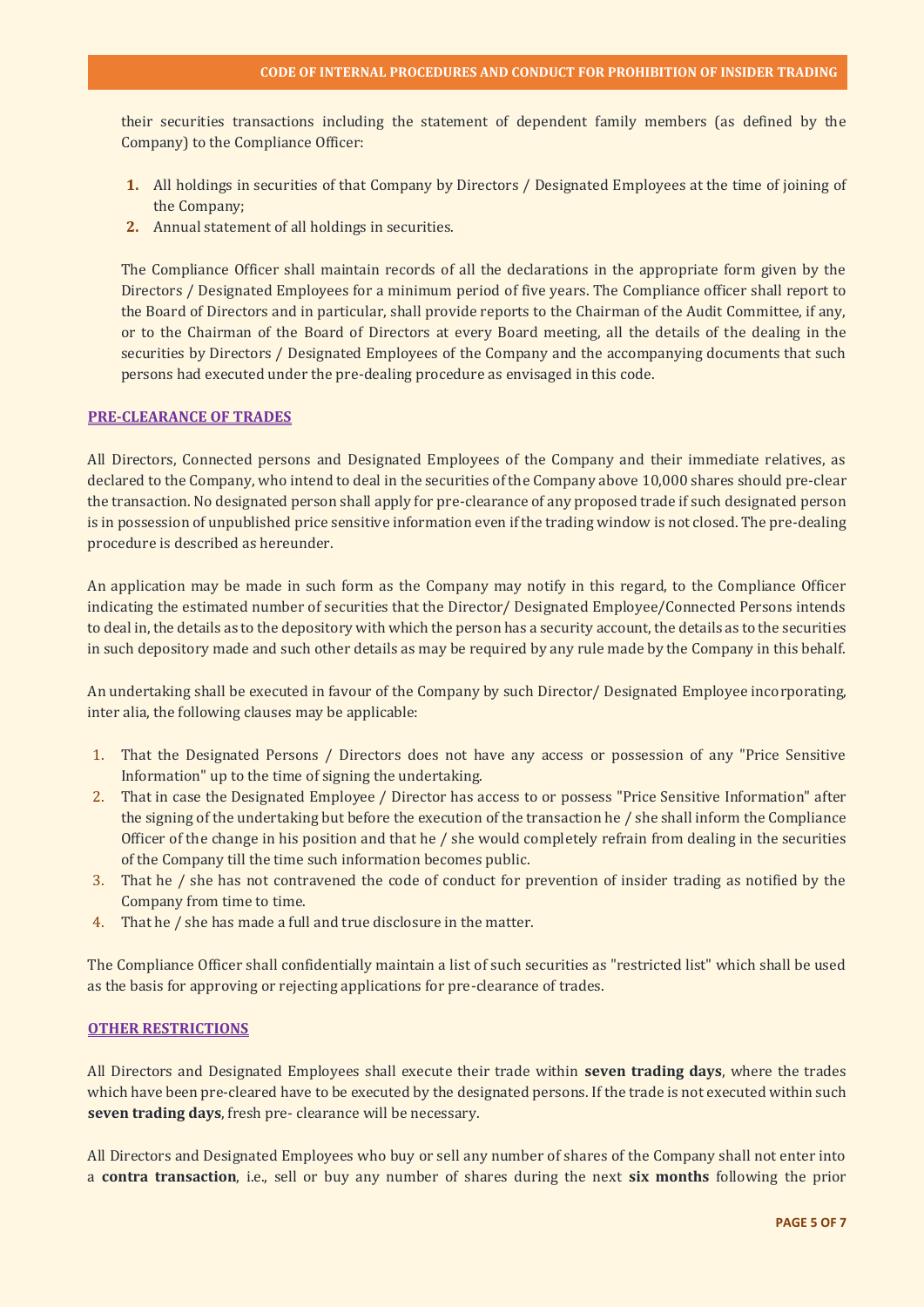their securities transactions including the statement of dependent family members (as defined by the Company) to the Compliance Officer:

- **1.** All holdings in securities of that Company by Directors / Designated Employees at the time of joining of the Company;
- **2.** Annual statement of all holdings in securities.

The Compliance Officer shall maintain records of all the declarations in the appropriate form given by the Directors / Designated Employees for a minimum period of five years. The Compliance officer shall report to the Board of Directors and in particular, shall provide reports to the Chairman of the Audit Committee, if any, or to the Chairman of the Board of Directors at every Board meeting, all the details of the dealing in the securities by Directors / Designated Employees of the Company and the accompanying documents that such persons had executed under the pre-dealing procedure as envisaged in this code.

#### **PRE-CLEARANCE OF TRADES**

All Directors, Connected persons and Designated Employees of the Company and their immediate relatives, as declared to the Company, who intend to deal in the securities of the Company above 10,000 shares should pre-clear the transaction. No designated person shall apply for pre-clearance of any proposed trade if such designated person is in possession of unpublished price sensitive information even if the trading window is not closed. The pre-dealing procedure is described as hereunder.

An application may be made in such form as the Company may notify in this regard, to the Compliance Officer indicating the estimated number of securities that the Director/ Designated Employee/Connected Persons intends to deal in, the details as to the depository with which the person has a security account, the details as to the securities in such depository made and such other details as may be required by any rule made by the Company in this behalf.

An undertaking shall be executed in favour of the Company by such Director/ Designated Employee incorporating, inter alia, the following clauses may be applicable:

- 1. That the Designated Persons / Directors does not have any access or possession of any "Price Sensitive Information" up to the time of signing the undertaking.
- 2. That in case the Designated Employee / Director has access to or possess "Price Sensitive Information" after the signing of the undertaking but before the execution of the transaction he / she shall inform the Compliance Officer of the change in his position and that he  $/$  she would completely refrain from dealing in the securities of the Company till the time such information becomes public.
- 3. That he / she has not contravened the code of conduct for prevention of insider trading as notified by the Company from time to time.
- 4. That he / she has made a full and true disclosure in the matter.

The Compliance Officer shall confidentially maintain a list of such securities as "restricted list" which shall be used as the basis for approving or rejecting applications for pre-clearance of trades.

## **OTHER RESTRICTIONS**

All Directors and Designated Employees shall execute their trade within **seven trading days**, where the trades which have been pre-cleared have to be executed by the designated persons. If the trade is not executed within such **seven trading days**, fresh pre- clearance will be necessary.

All Directors and Designated Employees who buy or sell any number of shares of the Company shall not enter into a **contra transaction**, i.e., sell or buy any number of shares during the next **six months** following the prior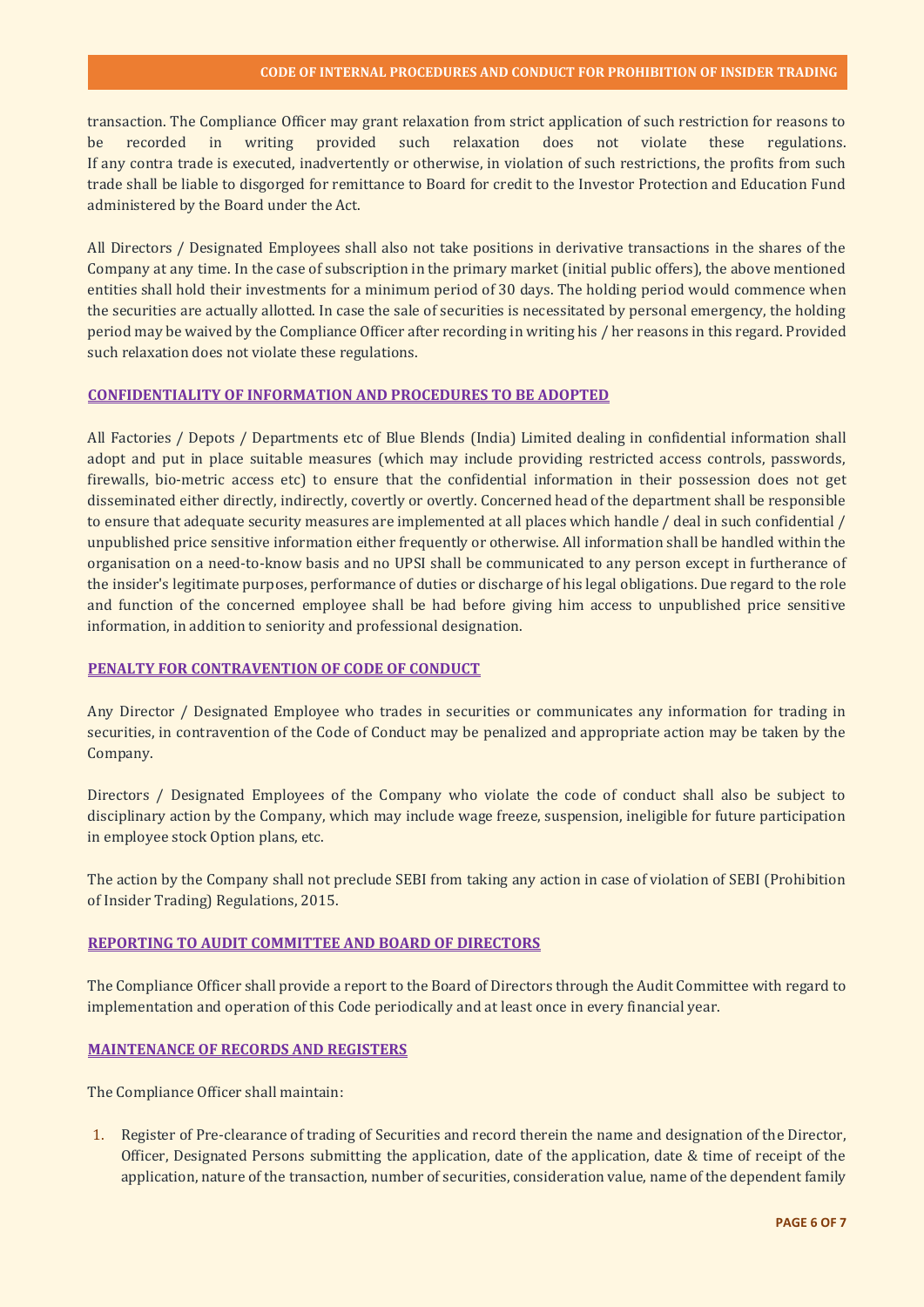transaction. The Compliance Officer may grant relaxation from strict application of such restriction for reasons to be recorded in writing provided such relaxation does not violate these regulations. If any contra trade is executed, inadvertently or otherwise, in violation of such restrictions, the profits from such trade shall be liable to disgorged for remittance to Board for credit to the Investor Protection and Education Fund administered by the Board under the Act.

All Directors / Designated Employees shall also not take positions in derivative transactions in the shares of the Company at any time. In the case of subscription in the primary market (initial public offers), the above mentioned entities shall hold their investments for a minimum period of 30 days. The holding period would commence when the securities are actually allotted. In case the sale of securities is necessitated by personal emergency, the holding period may be waived by the Compliance Officer after recording in writing his / her reasons in this regard. Provided such relaxation does not violate these regulations.

#### **CONFIDENTIALITY OF INFORMATION AND PROCEDURES TO BE ADOPTED**

All Factories / Depots / Departments etc of Blue Blends (India) Limited dealing in confidential information shall adopt and put in place suitable measures (which may include providing restricted access controls, passwords, firewalls, bio-metric access etc) to ensure that the confidential information in their possession does not get disseminated either directly, indirectly, covertly or overtly. Concerned head of the department shall be responsible to ensure that adequate security measures are implemented at all places which handle / deal in such confidential / unpublished price sensitive information either frequently or otherwise. All information shall be handled within the organisation on a need-to-know basis and no UPSI shall be communicated to any person except in furtherance of the insider's legitimate purposes, performance of duties or discharge of his legal obligations. Due regard to the role and function of the concerned employee shall be had before giving him access to unpublished price sensitive information, in addition to seniority and professional designation.

# **PENALTY FOR CONTRAVENTION OF CODE OF CONDUCT**

Any Director / Designated Employee who trades in securities or communicates any information for trading in securities, in contravention of the Code of Conduct may be penalized and appropriate action may be taken by the Company.

Directors / Designated Employees of the Company who violate the code of conduct shall also be subject to disciplinary action by the Company, which may include wage freeze, suspension, ineligible for future participation in employee stock Option plans, etc.

The action by the Company shall not preclude SEBI from taking any action in case of violation of SEBI (Prohibition of Insider Trading) Regulations, 2015.

# **REPORTING TO AUDIT COMMITTEE AND BOARD OF DIRECTORS**

The Compliance Officer shall provide a report to the Board of Directors through the Audit Committee with regard to implementation and operation of this Code periodically and at least once in every financial year.

#### **MAINTENANCE OF RECORDS AND REGISTERS**

The Compliance Officer shall maintain:

1. Register of Pre-clearance of trading of Securities and record therein the name and designation of the Director, Officer, Designated Persons submitting the application, date of the application, date & time of receipt of the application, nature of the transaction, number of securities, consideration value, name of the dependent family